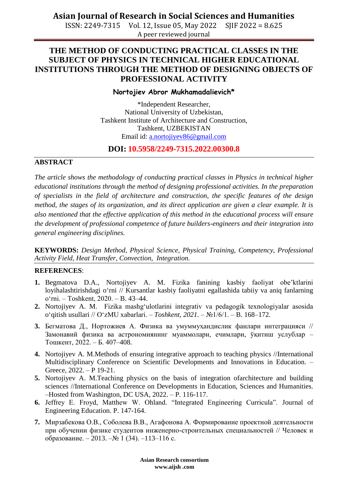**Asian Journal of Research in Social Sciences and Humanities**

ISSN: 2249-7315 Vol. 12, Issue 05, May 2022 SJIF 2022 = 8.625 A peer reviewed journal

# **THE METHOD OF CONDUCTING PRACTICAL CLASSES IN THE SUBJECT OF PHYSICS IN TECHNICAL HIGHER EDUCATIONAL INSTITUTIONS THROUGH THE METHOD OF DESIGNING OBJECTS OF PROFESSIONAL ACTIVITY**

#### **Nortojiev Abror Mukhamadalievich\***

\*Independent Researcher, National University of Uzbekistan, Tashkent Institute of Architecture and Construction, Tashkent, UZBEKISTAN Email id: [a.nortojiyev86@gmail.com](mailto:a.nortojiyev86@gmail.com)

### **DOI: 10.5958/2249-7315.2022.00300.8**

### **ABSTRACT**

*The article shows the methodology of conducting practical classes in Physics in technical higher educational institutions through the method of designing professional activities. In the preparation of specialists in the field of architecture and construction, the specific features of the design method, the stages of its organization, and its direct application are given a clear example. It is also mentioned that the effective application of this method in the educational process will ensure the development of professional competence of future builders-engineers and their integration into general engineering disciplines.*

**KEYWORDS:** *Design Method, Physical Science, Physical Training, Competency, Professional Activity Field, Heat Transfer, Convection, Integration.*

#### **REFERENCES**:

- **1.** Begmatova D.A., Nortojiyev A. M. Fizika fanining kasbiy faoliyat obe'ktlarini loyihalashtirishdagi oʻrni // Kursantlar kasbiy faoliyatni egallashida tabiiy va aniq fanlarning o‗rni. – Тоshkent, 2020. – B. 43–44.
- 2. Nortojiyev A. M. Fizika mashgʻulotlarini integrativ va pedagogik texnologiyalar asosida o‗qitish usullari // OʻzMU xabarlari. – *Toshkent, 2021.* – №1/6/1. – B. 168–172.
- **3.** Бегматова Д., Нортожиев А. Физика ва умуммуҳандислик фанлари интеграцияси // Замонавий физика ва астрономиянинг муаммолари, ечимлари, ўқитиш услублар – Тошкент, 2022. – Б. 407–408.
- **4.** Nortojiyev A. M.Methods of ensuring integrative approach to teaching physics //International Multidisciplinary Conference on Scientific Developments and Innovations in Education. – Greece, 2022. – P 19-21.
- **5.** Nortojiyev A. M.Teaching physics on the basis of integration ofarchitecture and building sciences //International Conference on Developments in Education, Sciences and Humanities. –Hosted from Washington, DC USA, 2022. – P. 116-117.
- **6.** Jeffrey E. Froyd, Matthew W. Ohland. "Integrated Engineering Curricula". Journal of Engineering Education. P. 147-164.
- **7.** Мирзабекова О.В., Соболева В.В., Агафонова А. Формирование проектной деятельности при обучении физике студентов инженерно-строительных специальностей // Человек и образование. – 2013. –№ 1 (34). –113–116 с.